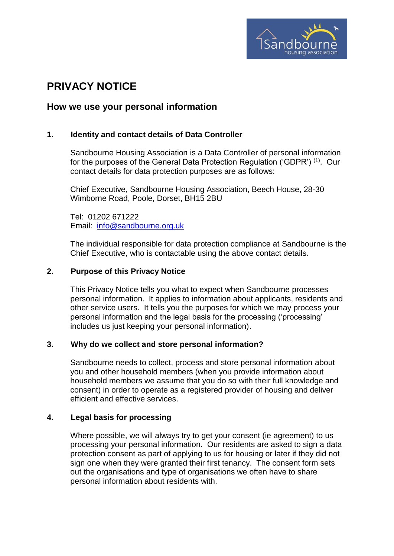

# **PRIVACY NOTICE**

## **How we use your personal information**

## **1. Identity and contact details of Data Controller**

Sandbourne Housing Association is a Data Controller of personal information for the purposes of the General Data Protection Regulation ('GDPR')  $^{(1)}$ . Our contact details for data protection purposes are as follows:

Chief Executive, Sandbourne Housing Association, Beech House, 28-30 Wimborne Road, Poole, Dorset, BH15 2BU

Tel: 01202 671222 Email: [info@sandbourne.org.uk](mailto:info@sandbourne.org.uk)

The individual responsible for data protection compliance at Sandbourne is the Chief Executive, who is contactable using the above contact details.

## **2. Purpose of this Privacy Notice**

This Privacy Notice tells you what to expect when Sandbourne processes personal information. It applies to information about applicants, residents and other service users. It tells you the purposes for which we may process your personal information and the legal basis for the processing ('processing' includes us just keeping your personal information).

## **3. Why do we collect and store personal information?**

Sandbourne needs to collect, process and store personal information about you and other household members (when you provide information about household members we assume that you do so with their full knowledge and consent) in order to operate as a registered provider of housing and deliver efficient and effective services.

## **4. Legal basis for processing**

Where possible, we will always try to get your consent (ie agreement) to us processing your personal information. Our residents are asked to sign a data protection consent as part of applying to us for housing or later if they did not sign one when they were granted their first tenancy. The consent form sets out the organisations and type of organisations we often have to share personal information about residents with.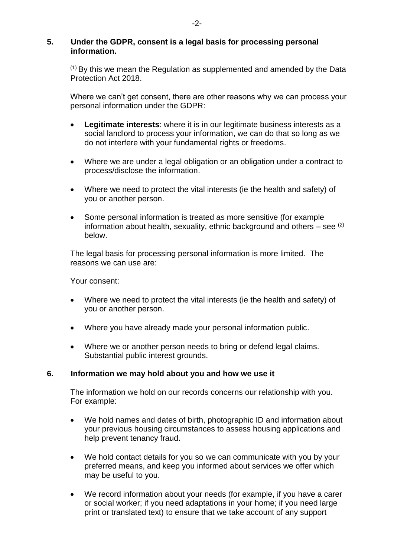## **5. Under the GDPR, consent is a legal basis for processing personal information.**

 $(1)$  By this we mean the Regulation as supplemented and amended by the Data Protection Act 2018.

Where we can't get consent, there are other reasons why we can process your personal information under the GDPR:

- **Legitimate interests**: where it is in our legitimate business interests as a social landlord to process your information, we can do that so long as we do not interfere with your fundamental rights or freedoms.
- Where we are under a legal obligation or an obligation under a contract to process/disclose the information.
- Where we need to protect the vital interests (ie the health and safety) of you or another person.
- Some personal information is treated as more sensitive (for example information about health, sexuality, ethnic background and others – see  $(2)$ below.

The legal basis for processing personal information is more limited. The reasons we can use are:

Your consent:

- Where we need to protect the vital interests (ie the health and safety) of you or another person.
- Where you have already made your personal information public.
- Where we or another person needs to bring or defend legal claims. Substantial public interest grounds.

## **6. Information we may hold about you and how we use it**

The information we hold on our records concerns our relationship with you. For example:

- We hold names and dates of birth, photographic ID and information about your previous housing circumstances to assess housing applications and help prevent tenancy fraud.
- We hold contact details for you so we can communicate with you by your preferred means, and keep you informed about services we offer which may be useful to you.
- We record information about your needs (for example, if you have a carer or social worker; if you need adaptations in your home; if you need large print or translated text) to ensure that we take account of any support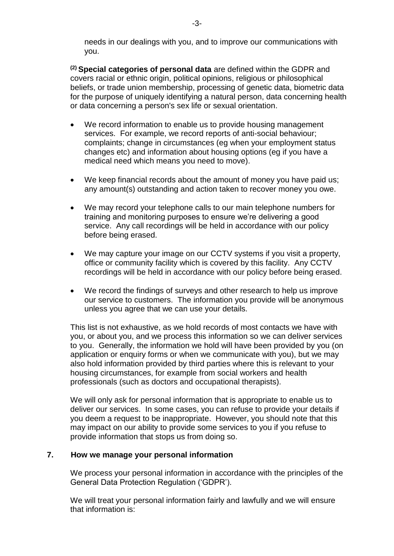needs in our dealings with you, and to improve our communications with you.

**(2) Special categories of personal data** are defined within the GDPR and covers racial or ethnic origin, political opinions, religious or philosophical beliefs, or trade union membership, processing of genetic data, biometric data for the purpose of uniquely identifying a natural person, data concerning health or data concerning a person's sex life or sexual orientation.

- We record information to enable us to provide housing management services. For example, we record reports of anti-social behaviour; complaints; change in circumstances (eg when your employment status changes etc) and information about housing options (eg if you have a medical need which means you need to move).
- We keep financial records about the amount of money you have paid us; any amount(s) outstanding and action taken to recover money you owe.
- We may record your telephone calls to our main telephone numbers for training and monitoring purposes to ensure we're delivering a good service. Any call recordings will be held in accordance with our policy before being erased.
- We may capture your image on our CCTV systems if you visit a property, office or community facility which is covered by this facility. Any CCTV recordings will be held in accordance with our policy before being erased.
- We record the findings of surveys and other research to help us improve our service to customers. The information you provide will be anonymous unless you agree that we can use your details.

This list is not exhaustive, as we hold records of most contacts we have with you, or about you, and we process this information so we can deliver services to you. Generally, the information we hold will have been provided by you (on application or enquiry forms or when we communicate with you), but we may also hold information provided by third parties where this is relevant to your housing circumstances, for example from social workers and health professionals (such as doctors and occupational therapists).

We will only ask for personal information that is appropriate to enable us to deliver our services. In some cases, you can refuse to provide your details if you deem a request to be inappropriate. However, you should note that this may impact on our ability to provide some services to you if you refuse to provide information that stops us from doing so.

## **7. How we manage your personal information**

We process your personal information in accordance with the principles of the General Data Protection Regulation ('GDPR').

We will treat your personal information fairly and lawfully and we will ensure that information is: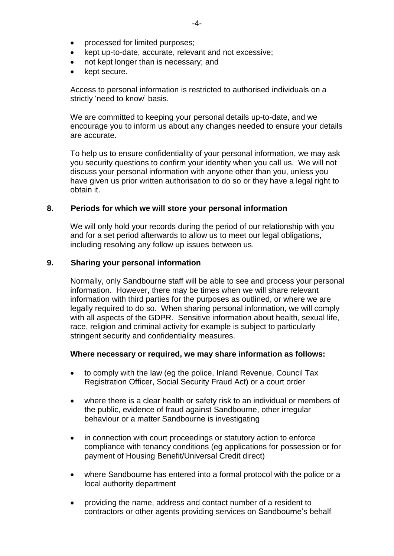- processed for limited purposes;
- kept up-to-date, accurate, relevant and not excessive;
- not kept longer than is necessary; and
- kept secure.

Access to personal information is restricted to authorised individuals on a strictly 'need to know' basis.

We are committed to keeping your personal details up-to-date, and we encourage you to inform us about any changes needed to ensure your details are accurate.

To help us to ensure confidentiality of your personal information, we may ask you security questions to confirm your identity when you call us. We will not discuss your personal information with anyone other than you, unless you have given us prior written authorisation to do so or they have a legal right to obtain it.

#### **8. Periods for which we will store your personal information**

We will only hold your records during the period of our relationship with you and for a set period afterwards to allow us to meet our legal obligations, including resolving any follow up issues between us.

#### **9. Sharing your personal information**

Normally, only Sandbourne staff will be able to see and process your personal information. However, there may be times when we will share relevant information with third parties for the purposes as outlined, or where we are legally required to do so. When sharing personal information, we will comply with all aspects of the GDPR. Sensitive information about health, sexual life, race, religion and criminal activity for example is subject to particularly stringent security and confidentiality measures.

#### **Where necessary or required, we may share information as follows:**

- to comply with the law (eg the police, Inland Revenue, Council Tax Registration Officer, Social Security Fraud Act) or a court order
- where there is a clear health or safety risk to an individual or members of the public, evidence of fraud against Sandbourne, other irregular behaviour or a matter Sandbourne is investigating
- in connection with court proceedings or statutory action to enforce compliance with tenancy conditions (eg applications for possession or for payment of Housing Benefit/Universal Credit direct)
- where Sandbourne has entered into a formal protocol with the police or a local authority department
- providing the name, address and contact number of a resident to contractors or other agents providing services on Sandbourne's behalf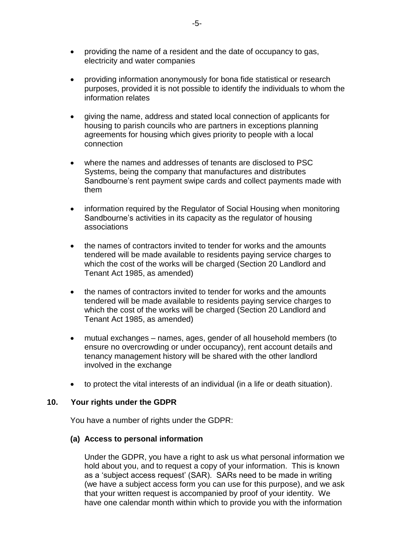- providing the name of a resident and the date of occupancy to gas, electricity and water companies
- providing information anonymously for bona fide statistical or research purposes, provided it is not possible to identify the individuals to whom the information relates
- giving the name, address and stated local connection of applicants for housing to parish councils who are partners in exceptions planning agreements for housing which gives priority to people with a local connection
- where the names and addresses of tenants are disclosed to PSC Systems, being the company that manufactures and distributes Sandbourne's rent payment swipe cards and collect payments made with them
- information required by the Regulator of Social Housing when monitoring Sandbourne's activities in its capacity as the regulator of housing associations
- the names of contractors invited to tender for works and the amounts tendered will be made available to residents paying service charges to which the cost of the works will be charged (Section 20 Landlord and Tenant Act 1985, as amended)
- the names of contractors invited to tender for works and the amounts tendered will be made available to residents paying service charges to which the cost of the works will be charged (Section 20 Landlord and Tenant Act 1985, as amended)
- mutual exchanges names, ages, gender of all household members (to ensure no overcrowding or under occupancy), rent account details and tenancy management history will be shared with the other landlord involved in the exchange
- to protect the vital interests of an individual (in a life or death situation).

#### **10. Your rights under the GDPR**

You have a number of rights under the GDPR:

#### **(a) Access to personal information**

Under the GDPR, you have a right to ask us what personal information we hold about you, and to request a copy of your information. This is known as a 'subject access request' (SAR). SARs need to be made in writing (we have a subject access form you can use for this purpose), and we ask that your written request is accompanied by proof of your identity. We have one calendar month within which to provide you with the information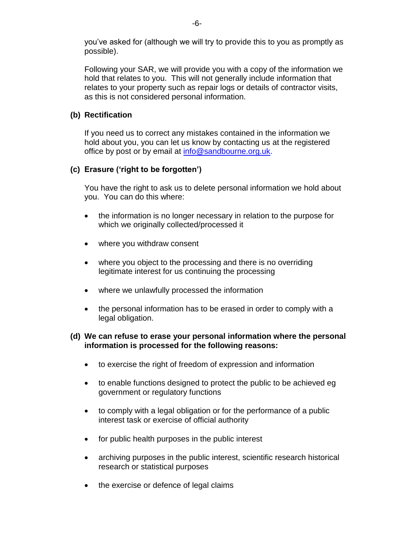you've asked for (although we will try to provide this to you as promptly as possible).

Following your SAR, we will provide you with a copy of the information we hold that relates to you. This will not generally include information that relates to your property such as repair logs or details of contractor visits, as this is not considered personal information.

## **(b) Rectification**

If you need us to correct any mistakes contained in the information we hold about you, you can let us know by contacting us at the registered office by post or by email at [info@sandbourne.org.uk.](mailto:info@sandbourne.org.uk)

## **(c) Erasure ('right to be forgotten')**

You have the right to ask us to delete personal information we hold about you. You can do this where:

- the information is no longer necessary in relation to the purpose for which we originally collected/processed it
- where you withdraw consent
- where you object to the processing and there is no overriding legitimate interest for us continuing the processing
- where we unlawfully processed the information
- the personal information has to be erased in order to comply with a legal obligation.

## **(d) We can refuse to erase your personal information where the personal information is processed for the following reasons:**

- to exercise the right of freedom of expression and information
- to enable functions designed to protect the public to be achieved eg government or regulatory functions
- to comply with a legal obligation or for the performance of a public interest task or exercise of official authority
- for public health purposes in the public interest
- archiving purposes in the public interest, scientific research historical research or statistical purposes
- the exercise or defence of legal claims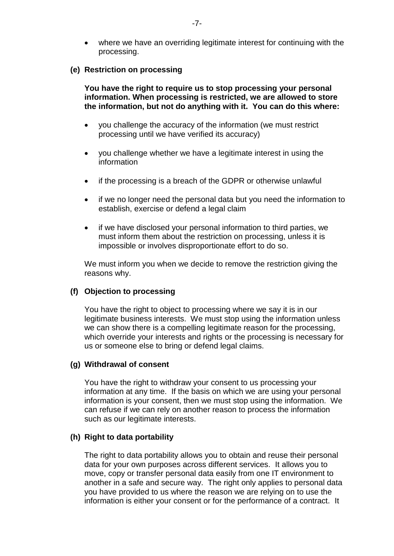where we have an overriding legitimate interest for continuing with the processing.

#### **(e) Restriction on processing**

**You have the right to require us to stop processing your personal information. When processing is restricted, we are allowed to store the information, but not do anything with it. You can do this where:**

- you challenge the accuracy of the information (we must restrict processing until we have verified its accuracy)
- you challenge whether we have a legitimate interest in using the information
- if the processing is a breach of the GDPR or otherwise unlawful
- if we no longer need the personal data but you need the information to establish, exercise or defend a legal claim
- if we have disclosed your personal information to third parties, we must inform them about the restriction on processing, unless it is impossible or involves disproportionate effort to do so.

We must inform you when we decide to remove the restriction giving the reasons why.

#### **(f) Objection to processing**

You have the right to object to processing where we say it is in our legitimate business interests. We must stop using the information unless we can show there is a compelling legitimate reason for the processing, which override your interests and rights or the processing is necessary for us or someone else to bring or defend legal claims.

#### **(g) Withdrawal of consent**

You have the right to withdraw your consent to us processing your information at any time. If the basis on which we are using your personal information is your consent, then we must stop using the information. We can refuse if we can rely on another reason to process the information such as our legitimate interests.

#### **(h) Right to data portability**

The right to data portability allows you to obtain and reuse their personal data for your own purposes across different services. It allows you to move, copy or transfer personal data easily from one IT environment to another in a safe and secure way. The right only applies to personal data you have provided to us where the reason we are relying on to use the information is either your consent or for the performance of a contract. It